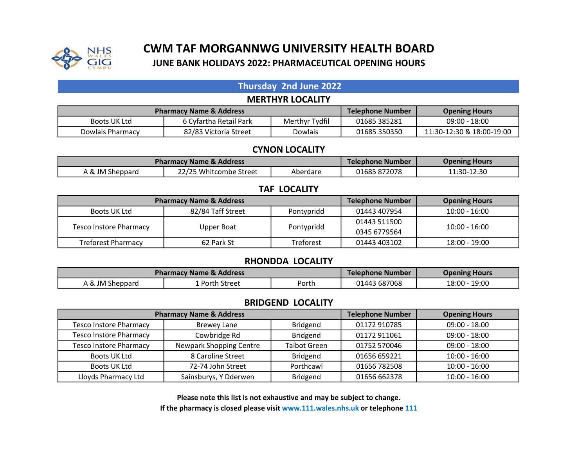

# CWM TAF MORGANNWG UNIVERSITY HEALTH BOARD JUNE BANK HOLIDAYS 2022: PHARMACEUTICAL OPENING HOURS

## Thursday 2nd June 2022 MERTHYR LOCALITY

| <b>Pharmacy Name &amp; Address</b> |                        |                | Telephone Number | <b>Opening Hours</b>      |
|------------------------------------|------------------------|----------------|------------------|---------------------------|
| Boots UK Ltd                       | 6 Cyfartha Retail Park | Merthyr Tydfil | 01685 385281     | $09:00 - 18:00$           |
| Dowlais Pharmacy                   | 82/83 Victoria Street  | Dowlais        | 01685 350350     | 11:30-12:30 & 18:00-19:00 |

#### CYNON LOCALITY

| <b>Pharmacy Name &amp; Address</b> |                        |          | Telephone Number | <b>Opening Hours</b> |
|------------------------------------|------------------------|----------|------------------|----------------------|
| A & JM Sheppard                    | 22/25 Whitcombe Street | Aberdare | 01685872078      | 11:30-12:30          |

## TAF LOCALITY

| <b>Pharmacy Name &amp; Address</b> |                   |                  | <b>Telephone Number</b> | <b>Opening Hours</b> |
|------------------------------------|-------------------|------------------|-------------------------|----------------------|
| Boots UK Ltd                       | 82/84 Taff Street | Pontypridd       | 01443 407954            | 10:00 - 16:00        |
|                                    |                   |                  | 01443 511500            | $10:00 - 16:00$      |
| <b>Tesco Instore Pharmacy</b>      | Upper Boat        | Pontypridd       | 0345 6779564            |                      |
| <b>Treforest Pharmacy</b>          | 62 Park St        | <b>Treforest</b> | 01443 403102            | 18:00 - 19:00        |

#### RHONDDA LOCALITY

| <b>Pharmacy Name &amp; Address</b> |              |       | Telephone Number | <b>Opening Hours</b> |
|------------------------------------|--------------|-------|------------------|----------------------|
| A & JM Sheppard                    | Porth Street | Porth | 01443 687068     | 18:00 - 19:00        |

#### BRIDGEND LOCALITY

| <b>Pharmacy Name &amp; Address</b> |                         |                     | <b>Telephone Number</b> | <b>Opening Hours</b> |
|------------------------------------|-------------------------|---------------------|-------------------------|----------------------|
| <b>Tesco Instore Pharmacy</b>      | <b>Brewey Lane</b>      | Bridgend            | 01172 910785            | $09:00 - 18:00$      |
| <b>Tesco Instore Pharmacy</b>      | Cowbridge Rd            | <b>Bridgend</b>     | 01172 911061            | $09:00 - 18:00$      |
| <b>Tesco Instore Pharmacy</b>      | Newpark Shopping Centre | <b>Talbot Green</b> | 01752 570046            | $09:00 - 18:00$      |
| Boots UK Ltd                       | 8 Caroline Street       | <b>Bridgend</b>     | 01656 659221            | $10:00 - 16:00$      |
| Boots UK Ltd                       | 72-74 John Street       | Porthcawl           | 01656 782508            | $10:00 - 16:00$      |
| Lloyds Pharmacy Ltd                | Sainsburys, Y Dderwen   | <b>Bridgend</b>     | 01656 662378            | $10:00 - 16:00$      |

Please note this list is not exhaustive and may be subject to change. If the pharmacy is closed please visit www.111.wales.nhs.uk or telephone 111